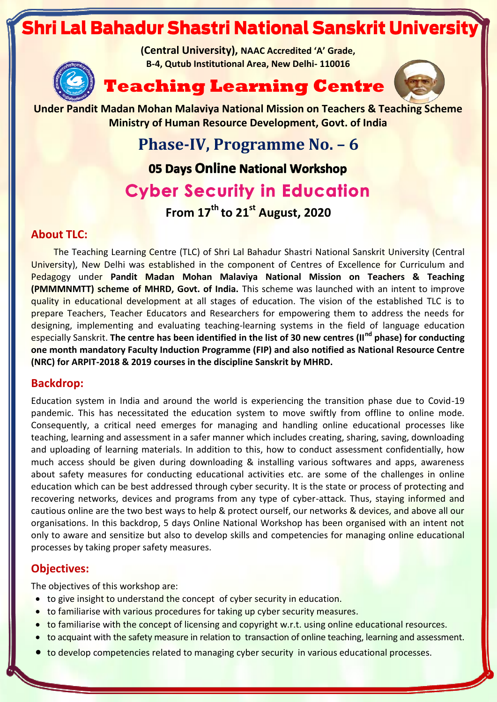# Shri Lal Bahadur Shastri National Sanskrit Universit

**(Central University), NAAC Accredited 'A' Grade, B-4, Qutub Institutional Area, New Delhi- 110016**







**Under Pandit Madan Mohan Malaviya National Mission on Teachers & Teaching Scheme Ministry of Human Resource Development, Govt. of India**

> **Phase-IV, Programme No. – 6** 05 Days Online National Workshop **Cyber Security in Education**

> > **From 17th to 21 st August, 2020**

## **About TLC:**

The Teaching Learning Centre (TLC) of Shri Lal Bahadur Shastri National Sanskrit University (Central University), New Delhi was established in the component of Centres of Excellence for Curriculum and Pedagogy under **Pandit Madan Mohan Malaviya National Mission on Teachers & Teaching (PMMMNMTT) scheme of MHRD, Govt. of India.** This scheme was launched with an intent to improve quality in educational development at all stages of education. The vision of the established TLC is to prepare Teachers, Teacher Educators and Researchers for empowering them to address the needs for designing, implementing and evaluating teaching-learning systems in the field of language education especially Sanskrit. **The centre has been identified in the list of 30 new centres (IInd phase) for conducting one month mandatory Faculty Induction Programme (FIP) and also notified as National Resource Centre (NRC) for ARPIT-2018 & 2019 courses in the discipline Sanskrit by MHRD.**

# **Backdrop:**

Education system in India and around the world is experiencing the transition phase due to Covid-19 pandemic. This has necessitated the education system to move swiftly from offline to online mode. Consequently, a critical need emerges for managing and handling online educational processes like teaching, learning and assessment in a safer manner which includes creating, sharing, saving, downloading and uploading of learning materials. In addition to this, how to conduct assessment confidentially, how much access should be given during downloading & installing various softwares and apps, awareness about safety measures for conducting educational activities etc. are some of the challenges in online education which can be best addressed through cyber security. It is the state or process of protecting and recovering networks, devices and programs from any type of cyber-attack. Thus, staying informed and cautious online are the two best ways to help & protect ourself, our networks & devices, and above all our organisations. In this backdrop, 5 days Online National Workshop has been organised with an intent not only to aware and sensitize but also to develop skills and competencies for managing online educational processes by taking proper safety measures.

# **Objectives:**

The objectives of this workshop are:

- to give insight to understand the concept of cyber security in education.
- to familiarise with various procedures for taking up cyber security measures.
- to familiarise with the concept of licensing and copyright w.r.t. using online educational resources.
- to acquaint with the safety measure in relation to transaction of online teaching, learning and assessment.
- to develop competencies related to managing cyber security in various educational processes.